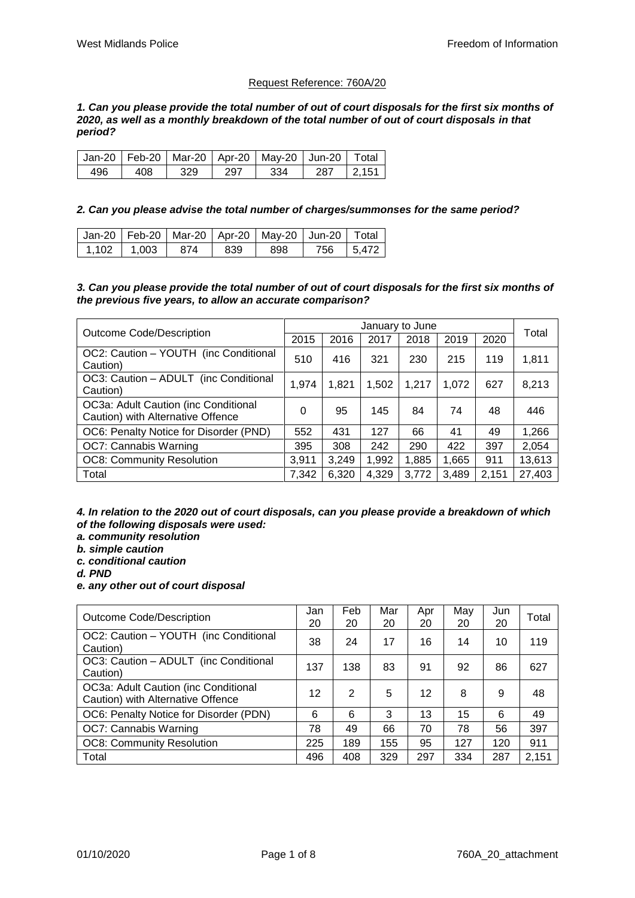## Request Reference: 760A/20

*1. Can you please provide the total number of out of court disposals for the first six months of 2020, as well as a monthly breakdown of the total number of out of court disposals in that period?*

|     |     |      |      | Jan-20   Feb-20   Mar-20   Apr-20   May-20   Jun-20   Total |               |
|-----|-----|------|------|-------------------------------------------------------------|---------------|
| 496 | 408 | -329 | -297 | -334                                                        | $287$   2,151 |

## *2. Can you please advise the total number of charges/summonses for the same period?*

|                 |      |     | Jan-20   Feb-20   Mar-20   Apr-20   May-20   Jun-20   Total |            |
|-----------------|------|-----|-------------------------------------------------------------|------------|
| $1.102$   1.003 | -874 | 839 | 898                                                         | 756 15.472 |

*3. Can you please provide the total number of out of court disposals for the first six months of the previous five years, to allow an accurate comparison?*

| <b>Outcome Code/Description</b>                                           |       |       |       | January to June |       |       | Total  |
|---------------------------------------------------------------------------|-------|-------|-------|-----------------|-------|-------|--------|
|                                                                           | 2015  | 2016  | 2017  | 2018            | 2019  | 2020  |        |
| OC2: Caution - YOUTH (inc Conditional<br>Caution)                         | 510   | 416   | 321   | 230             | 215   | 119   | 1,811  |
| OC3: Caution - ADULT (inc Conditional<br>Caution)                         | 1.974 | 1.821 | 1,502 | 1.217           | 1.072 | 627   | 8,213  |
| OC3a: Adult Caution (inc Conditional<br>Caution) with Alternative Offence | 0     | 95    | 145   | 84              | 74    | 48    | 446    |
| OC6: Penalty Notice for Disorder (PND)                                    | 552   | 431   | 127   | 66              | 41    | 49    | 1,266  |
| OC7: Cannabis Warning                                                     | 395   | 308   | 242   | 290             | 422   | 397   | 2,054  |
| <b>OC8: Community Resolution</b>                                          | 3,911 | 3,249 | 1,992 | 1,885           | 1,665 | 911   | 13,613 |
| Total                                                                     | 7.342 | 6.320 | 4,329 | 3.772           | 3,489 | 2.151 | 27,403 |

*4. In relation to the 2020 out of court disposals, can you please provide a breakdown of which of the following disposals were used:*

- *a. community resolution*
- *b. simple caution*
- *c. conditional caution*

*d. PND*

*e. any other out of court disposal*

| Outcome Code/Description                                                  | Jan<br>20 | Feb<br>20 | Mar<br>20 | Apr<br>20 | May<br>20 | Jun<br>20 | Total |
|---------------------------------------------------------------------------|-----------|-----------|-----------|-----------|-----------|-----------|-------|
| OC2: Caution - YOUTH (inc Conditional<br>Caution)                         | 38        | 24        | 17        | 16        | 14        | 10        | 119   |
| OC3: Caution - ADULT (inc Conditional<br>Caution)                         | 137       | 138       | 83        | 91        | 92        | 86        | 627   |
| OC3a: Adult Caution (inc Conditional<br>Caution) with Alternative Offence | 12        | 2         | 5         | 12        | 8         | 9         | 48    |
| OC6: Penalty Notice for Disorder (PDN)                                    | 6         | 6         | 3         | 13        | 15        | 6         | 49    |
| OC7: Cannabis Warning                                                     | 78        | 49        | 66        | 70        | 78        | 56        | 397   |
| <b>OC8: Community Resolution</b>                                          | 225       | 189       | 155       | 95        | 127       | 120       | 911   |
| Total                                                                     | 496       | 408       | 329       | 297       | 334       | 287       | 2,151 |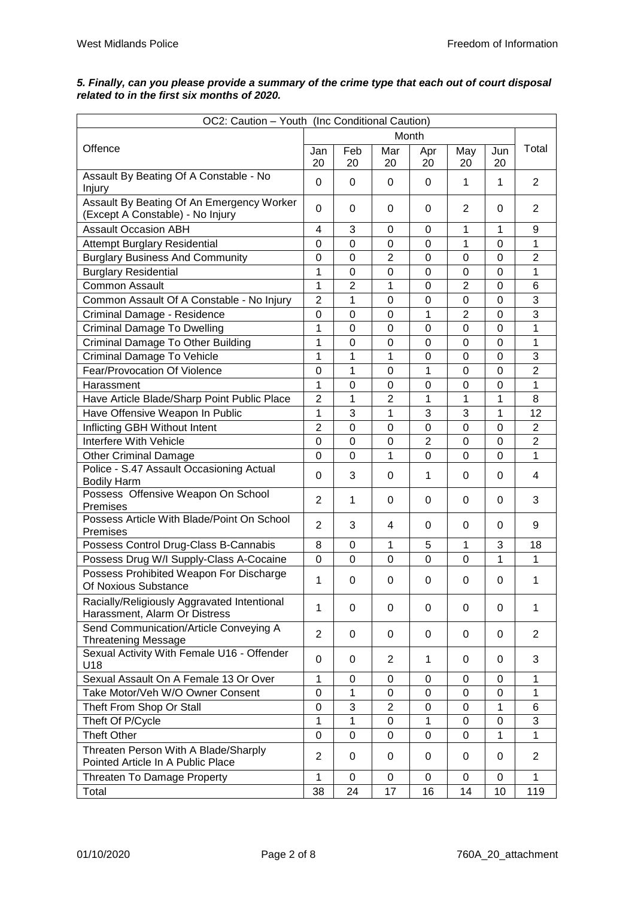$\mathbf{r}$ 

| OC2: Caution - Youth (Inc Conditional Caution)                                |                |                |                |                |              |           |                |  |  |  |  |
|-------------------------------------------------------------------------------|----------------|----------------|----------------|----------------|--------------|-----------|----------------|--|--|--|--|
|                                                                               |                |                | Month          |                |              |           |                |  |  |  |  |
| Offence                                                                       | Jan<br>20      | Feb<br>20      | Mar<br>20      | Apr<br>20      | May<br>20    | Jun<br>20 | Total          |  |  |  |  |
| Assault By Beating Of A Constable - No<br>Injury                              | 0              | 0              | 0              | 0              | 1            | 1         | $\overline{2}$ |  |  |  |  |
| Assault By Beating Of An Emergency Worker<br>(Except A Constable) - No Injury | $\Omega$       | 0              | 0              | 0              | 2            | 0         | $\overline{2}$ |  |  |  |  |
| <b>Assault Occasion ABH</b>                                                   | 4              | 3              | 0              | 0              | 1            | 1         | 9              |  |  |  |  |
| <b>Attempt Burglary Residential</b>                                           | 0              | $\Omega$       | 0              | 0              | 1            | 0         | 1              |  |  |  |  |
| <b>Burglary Business And Community</b>                                        | $\mathbf 0$    | $\overline{0}$ | $\overline{2}$ | $\mathbf 0$    | 0            | $\Omega$  | $\overline{2}$ |  |  |  |  |
| <b>Burglary Residential</b>                                                   | 1              | 0              | 0              | 0              | 0            | 0         | 1              |  |  |  |  |
| <b>Common Assault</b>                                                         | 1              | $\overline{2}$ | 1              | 0              | 2            | 0         | 6              |  |  |  |  |
| Common Assault Of A Constable - No Injury                                     | $\overline{2}$ | 1              | 0              | 0              | 0            | 0         | 3              |  |  |  |  |
| Criminal Damage - Residence                                                   | $\mathbf 0$    | $\mathbf 0$    | $\mathbf 0$    | 1              | 2            | 0         | 3              |  |  |  |  |
| <b>Criminal Damage To Dwelling</b>                                            | 1              | $\mathbf 0$    | 0              | 0              | 0            | 0         | 1              |  |  |  |  |
| Criminal Damage To Other Building                                             | 1              | $\mathbf 0$    | 0              | 0              | 0            | 0         | 1              |  |  |  |  |
| <b>Criminal Damage To Vehicle</b>                                             | 1              | 1              | 1              | 0              | 0            | 0         | 3              |  |  |  |  |
| Fear/Provocation Of Violence                                                  | 0              | 1              | 0              | 1              | 0            | 0         | $\overline{2}$ |  |  |  |  |
| Harassment                                                                    | $\mathbf 1$    | $\overline{0}$ | $\mathbf 0$    | $\mathbf 0$    | 0            | $\Omega$  | $\mathbf 1$    |  |  |  |  |
| Have Article Blade/Sharp Point Public Place                                   | $\overline{2}$ | 1              | $\overline{2}$ | 1              | 1            | 1         | 8              |  |  |  |  |
|                                                                               | 1              | 3              | 1              | 3              | 3            |           | 12             |  |  |  |  |
| Have Offensive Weapon In Public                                               | $\overline{2}$ | $\mathbf 0$    |                |                | 0            | 1         | $\overline{2}$ |  |  |  |  |
| Inflicting GBH Without Intent                                                 |                |                | 0              | 0              |              | 0         |                |  |  |  |  |
| Interfere With Vehicle                                                        | 0              | $\overline{0}$ | $\mathbf 0$    | $\overline{2}$ | 0            | 0         | $\overline{2}$ |  |  |  |  |
| <b>Other Criminal Damage</b>                                                  | $\Omega$       | $\Omega$       | 1              | $\Omega$       | $\Omega$     | 0         | 1              |  |  |  |  |
| Police - S.47 Assault Occasioning Actual<br><b>Bodily Harm</b>                | 0              | 3              | 0              | 1              | 0            | 0         | 4              |  |  |  |  |
| Possess Offensive Weapon On School<br>Premises                                | $\overline{2}$ | 1              | 0              | 0              | 0            | $\Omega$  | 3              |  |  |  |  |
| Possess Article With Blade/Point On School<br>Premises                        | $\overline{2}$ | 3              | 4              | 0              | 0            | 0         | 9              |  |  |  |  |
| Possess Control Drug-Class B-Cannabis                                         | 8              | $\overline{0}$ | $\mathbf{1}$   | 5              | $\mathbf{1}$ | 3         | 18             |  |  |  |  |
| Possess Drug W/I Supply-Class A-Cocaine                                       | 0              | $\mathbf 0$    | 0              | 0              | 0            | 1         | 1              |  |  |  |  |
| Possess Prohibited Weapon For Discharge<br>Of Noxious Substance               | 1              | 0              | 0              | 0              | 0            | 0         | 1              |  |  |  |  |
| Racially/Religiously Aggravated Intentional<br>Harassment, Alarm Or Distress  | $\mathbf{1}$   | 0              | 0              | 0              | 0            | 0         | 1              |  |  |  |  |
| Send Communication/Article Conveying A<br><b>Threatening Message</b>          | $\overline{2}$ | 0              | 0              | 0              | 0            | 0         | 2              |  |  |  |  |
| Sexual Activity With Female U16 - Offender<br>U18                             | 0              | 0              | $\overline{2}$ | 1              | 0            | 0         | 3              |  |  |  |  |
| Sexual Assault On A Female 13 Or Over                                         | 1              | $\mathbf 0$    | 0              | 0              | 0            | 0         | 1              |  |  |  |  |
| Take Motor/Veh W/O Owner Consent                                              | $\mathbf 0$    | 1              | 0              | $\Omega$       | $\Omega$     | 0         | 1              |  |  |  |  |
| Theft From Shop Or Stall                                                      | 0              | 3              | $\overline{2}$ | 0              | 0            | 1         | 6              |  |  |  |  |
| Theft Of P/Cycle                                                              | 1              | 1              | 0              | 1              | 0            | 0         | 3              |  |  |  |  |
| <b>Theft Other</b>                                                            | $\mathbf 0$    | $\mathbf 0$    | $\mathbf 0$    | 0              | $\Omega$     | 1         | 1              |  |  |  |  |
| Threaten Person With A Blade/Sharply<br>Pointed Article In A Public Place     | 2              | 0              | 0              | 0              | 0            | 0         | 2              |  |  |  |  |
| Threaten To Damage Property                                                   | 1              | 0              | 0              | 0              | 0            | 0         | 1              |  |  |  |  |
| Total                                                                         | 38             | 24             | 17             | 16             | 14           | 10        | 119            |  |  |  |  |

## *5. Finally, can you please provide a summary of the crime type that each out of court disposal related to in the first six months of 2020.*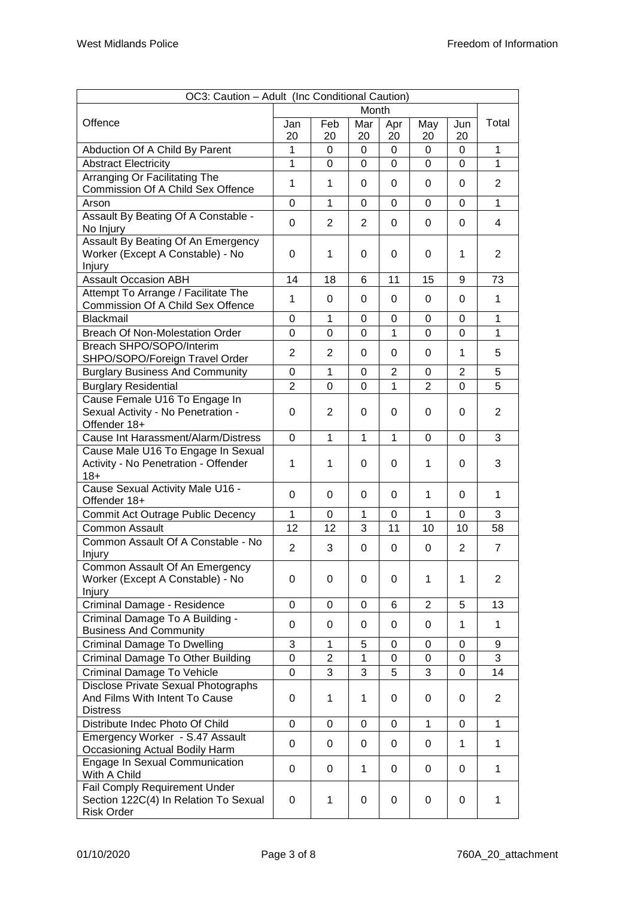| OC3: Caution - Adult (Inc Conditional Caution)                                              |                |                |              |                |                |                |                |  |  |
|---------------------------------------------------------------------------------------------|----------------|----------------|--------------|----------------|----------------|----------------|----------------|--|--|
|                                                                                             |                |                | Month        |                |                |                |                |  |  |
| Offence                                                                                     | Jan<br>20      | Feb<br>20      | Mar<br>20    | Apr<br>20      | May<br>20      | Jun<br>20      | Total          |  |  |
| Abduction Of A Child By Parent                                                              | 1              | 0              | $\Omega$     | $\overline{0}$ | $\mathbf 0$    | $\Omega$       | 1              |  |  |
| <b>Abstract Electricity</b>                                                                 | $\mathbf{1}$   | 0              | 0            | $\Omega$       | $\mathbf 0$    | $\Omega$       | 1              |  |  |
| Arranging Or Facilitating The                                                               | $\mathbf{1}$   | 1              |              |                |                | $\Omega$       | $\overline{2}$ |  |  |
| Commission Of A Child Sex Offence                                                           |                |                | 0            | 0              | 0              |                |                |  |  |
| Arson                                                                                       | 0              | 1              | 0            | $\Omega$       | 0              | 0              | 1              |  |  |
| Assault By Beating Of A Constable -<br>No Injury                                            | 0              | 2              | 2            | 0              | 0              | 0              | 4              |  |  |
| Assault By Beating Of An Emergency<br>Worker (Except A Constable) - No<br>Injury            | 0              | 1              | 0            | 0              | 0              | 1              | $\overline{2}$ |  |  |
| <b>Assault Occasion ABH</b>                                                                 | 14             | 18             | 6            | 11             | 15             | 9              | 73             |  |  |
| Attempt To Arrange / Facilitate The<br>Commission Of A Child Sex Offence                    | 1              | 0              | 0            | 0              | 0              | 0              | 1              |  |  |
| <b>Blackmail</b>                                                                            | 0              | 1              | 0            | 0              | 0              | 0              | 1              |  |  |
| Breach Of Non-Molestation Order                                                             | 0              | 0              | 0            | 1              | $\mathbf 0$    | 0              | 1              |  |  |
| Breach SHPO/SOPO/Interim<br>SHPO/SOPO/Foreign Travel Order                                  | $\overline{2}$ | 2              | 0            | $\Omega$       | 0              | 1              | 5              |  |  |
| <b>Burglary Business And Community</b>                                                      | 0              | 1              | 0            | $\overline{2}$ | $\Omega$       | $\overline{2}$ | 5              |  |  |
| <b>Burglary Residential</b>                                                                 | $\overline{2}$ | 0              | 0            | 1              | $\overline{2}$ | 0              | 5              |  |  |
| Cause Female U16 To Engage In<br>Sexual Activity - No Penetration -<br>Offender 18+         | 0              | 2              | $\Omega$     | $\Omega$       | $\Omega$       | 0              | $\overline{2}$ |  |  |
| Cause Int Harassment/Alarm/Distress                                                         | $\Omega$       | 1              | $\mathbf{1}$ | $\mathbf{1}$   | $\mathbf 0$    | 0              | 3              |  |  |
| Cause Male U16 To Engage In Sexual                                                          |                |                |              |                |                |                |                |  |  |
| Activity - No Penetration - Offender<br>$18+$                                               | $\mathbf{1}$   | 1              | 0            | $\Omega$       | 1              | 0              | 3              |  |  |
| Cause Sexual Activity Male U16 -<br>Offender 18+                                            | 0              | 0              | 0            | 0              | 1              | 0              | 1              |  |  |
| <b>Commit Act Outrage Public Decency</b>                                                    | $\mathbf{1}$   | $\Omega$       | 1            | $\mathbf 0$    | $\mathbf{1}$   | $\mathbf 0$    | 3              |  |  |
| <b>Common Assault</b>                                                                       | 12             | 12             | 3            | 11             | 10             | 10             | 58             |  |  |
| Common Assault Of A Constable - No<br>Injury                                                | 2              | 3              | 0            | 0              | 0              | $\overline{2}$ | $\overline{7}$ |  |  |
| Common Assault Of An Emergency<br>Worker (Except A Constable) - No<br>Injury                | 0              | 0              | 0            | $\Omega$       | 1              | 1              | $\overline{2}$ |  |  |
| Criminal Damage - Residence                                                                 | 0              | 0              | 0            | 6              | 2              | 5              | 13             |  |  |
| Criminal Damage To A Building -<br><b>Business And Community</b>                            | 0              | 0              | 0            | 0              | 0              | 1              | 1              |  |  |
| Criminal Damage To Dwelling                                                                 | 3              | 1              | 5            | 0              | 0              | 0              | 9              |  |  |
| Criminal Damage To Other Building                                                           | 0              | $\overline{2}$ | 1            | 0              | 0              | 0              | 3              |  |  |
| <b>Criminal Damage To Vehicle</b>                                                           | $\mathbf 0$    | 3              | 3            | 5              | 3              | 0              | 14             |  |  |
| Disclose Private Sexual Photographs<br>And Films With Intent To Cause<br><b>Distress</b>    | 0              | 1              | 1            | 0              | 0              | 0              | $\overline{2}$ |  |  |
| Distribute Indec Photo Of Child                                                             | 0              | 0              | 0            | 0              | $\mathbf{1}$   | 0              | 1              |  |  |
| Emergency Worker - S.47 Assault<br>Occasioning Actual Bodily Harm                           | 0              | 0              | 0            | 0              | 0              | 1              | 1              |  |  |
| Engage In Sexual Communication<br>With A Child                                              | 0              | 0              | 1            | 0              | 0              | 0              | 1              |  |  |
| Fail Comply Requirement Under<br>Section 122C(4) In Relation To Sexual<br><b>Risk Order</b> | 0              | 1              | 0            | 0              | $\pmb{0}$      | 0              | 1              |  |  |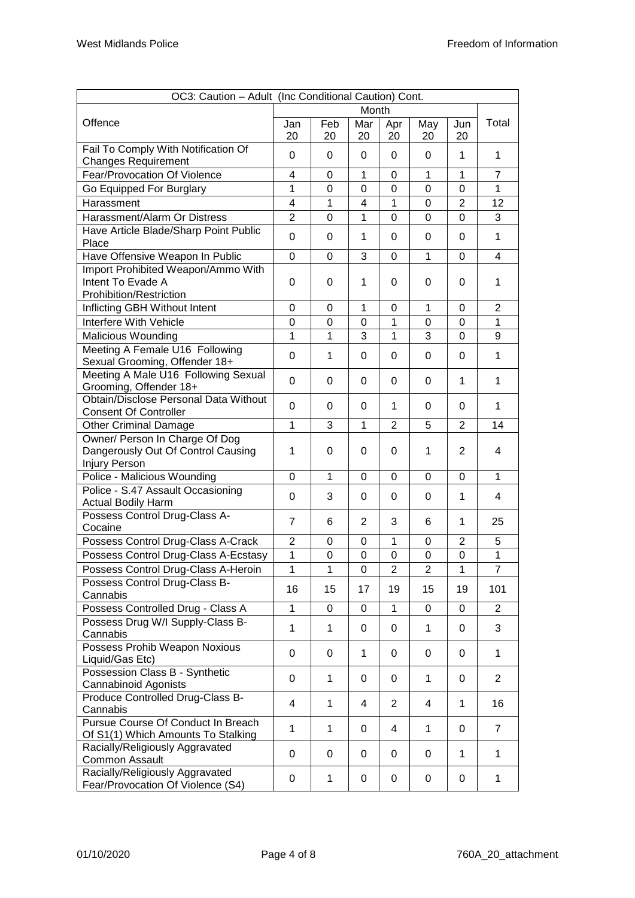|                                                                                               | OC3: Caution - Adult (Inc Conditional Caution) Cont. |              |                |                |                |                |                |
|-----------------------------------------------------------------------------------------------|------------------------------------------------------|--------------|----------------|----------------|----------------|----------------|----------------|
|                                                                                               |                                                      |              | Month          |                |                |                |                |
| Offence                                                                                       | Jan<br>20                                            | Feb<br>20    | Mar<br>20      | Apr<br>20      | May<br>20      | Jun<br>20      | Total          |
| Fail To Comply With Notification Of<br><b>Changes Requirement</b>                             | 0                                                    | 0            | 0              | 0              | 0              | 1              | 1              |
| Fear/Provocation Of Violence                                                                  | 4                                                    | 0            | 1              | 0              | 1              | $\mathbf{1}$   | $\overline{7}$ |
| Go Equipped For Burglary                                                                      | 1                                                    | 0            | 0              | 0              | 0              | 0              | $\mathbf{1}$   |
| Harassment                                                                                    | 4                                                    | 1            | 4              | 1              | 0              | $\overline{2}$ | 12             |
| Harassment/Alarm Or Distress                                                                  | $\overline{2}$                                       | 0            | 1              | 0              | 0              | 0              | 3              |
| Have Article Blade/Sharp Point Public                                                         |                                                      |              |                |                |                |                |                |
| Place                                                                                         | 0                                                    | 0            | 1              | $\Omega$       | 0              | $\Omega$       | $\mathbf{1}$   |
| Have Offensive Weapon In Public                                                               | 0                                                    | 0            | 3              | 0              | 1              | 0              | 4              |
| Import Prohibited Weapon/Ammo With<br>Intent To Evade A<br>Prohibition/Restriction            | 0                                                    | 0            | 1              | $\Omega$       | 0              | $\Omega$       | 1              |
| Inflicting GBH Without Intent                                                                 | 0                                                    | 0            | 1              | 0              | 1              | 0              | $\overline{2}$ |
| Interfere With Vehicle                                                                        | $\overline{0}$                                       | $\mathbf 0$  | 0              | 1              | $\overline{0}$ | 0              | $\mathbf{1}$   |
| <b>Malicious Wounding</b>                                                                     | 1                                                    | 1            | 3              | $\mathbf{1}$   | 3              | 0              | 9              |
| Meeting A Female U16 Following<br>Sexual Grooming, Offender 18+                               | 0                                                    | 1            | 0              | 0              | 0              | $\Omega$       | 1              |
| Meeting A Male U16 Following Sexual<br>Grooming, Offender 18+                                 | 0                                                    | 0            | 0              | $\Omega$       | 0              | 1              | 1              |
| Obtain/Disclose Personal Data Without<br><b>Consent Of Controller</b>                         | 0                                                    | 0            | 0              | 1              | $\Omega$       | $\Omega$       | $\mathbf{1}$   |
| <b>Other Criminal Damage</b>                                                                  | 1                                                    | 3            | 1              | 2              | 5              | $\overline{2}$ | 14             |
| Owner/ Person In Charge Of Dog<br>Dangerously Out Of Control Causing                          | 1                                                    | 0            | 0              | 0              | 1              | $\overline{2}$ | 4              |
| <b>Injury Person</b>                                                                          |                                                      |              |                |                |                |                |                |
| Police - Malicious Wounding                                                                   | 0                                                    | 1            | 0              | 0              | 0              | 0              | $\mathbf{1}$   |
| Police - S.47 Assault Occasioning<br><b>Actual Bodily Harm</b>                                | 0                                                    | 3            | 0              | 0              | 0              | 1              | 4              |
| Possess Control Drug-Class A-<br>Cocaine                                                      | $\overline{7}$                                       | 6            | $\overline{2}$ | 3              | 6              | 1              | 25             |
| Possess Control Drug-Class A-Crack                                                            | $\overline{2}$                                       | 0            | 0              | 1              | 0              | $\overline{c}$ | 5              |
| Possess Control Drug-Class A-Ecstasy                                                          | $\mathbf{1}$                                         | 0            | 0              | 0              | 0              | $\Omega$       | $\mathbf{1}$   |
| Possess Control Drug-Class A-Heroin                                                           | $\mathbf 1$                                          | $\mathbf 1$  | 0              | $\overline{2}$ | $\overline{2}$ | 1              | $\overline{7}$ |
| Possess Control Drug-Class B-<br>Cannabis                                                     | 16                                                   | 15           | 17             | 19             | 15             | 19             | 101            |
| Possess Controlled Drug - Class A                                                             | $\mathbf{1}$                                         | 0            | 0              | $\mathbf{1}$   | 0              | 0              | $\overline{2}$ |
| Possess Drug W/I Supply-Class B-<br>Cannabis                                                  | $\mathbf{1}$                                         | $\mathbf 1$  | 0              | 0              | $\mathbf{1}$   | 0              | 3              |
| Possess Prohib Weapon Noxious<br>Liquid/Gas Etc)                                              | 0                                                    | 0            | 1              | 0              | 0              | 0              | $\mathbf{1}$   |
| Possession Class B - Synthetic<br>Cannabinoid Agonists                                        | 0                                                    | $\mathbf 1$  | 0              | 0              | 1              | 0              | $\overline{2}$ |
| Produce Controlled Drug-Class B-<br>Cannabis                                                  | 4                                                    | 1            | 4              | $\overline{2}$ | 4              | 1              | 16             |
| Pursue Course Of Conduct In Breach<br>Of S1(1) Which Amounts To Stalking                      | 1                                                    | 1            | 0              | 4              | 1              | 0              | $\overline{7}$ |
| Racially/Religiously Aggravated                                                               | 0                                                    | 0            | 0              | 0              | 0              | 1              | 1              |
| <b>Common Assault</b><br>Racially/Religiously Aggravated<br>Fear/Provocation Of Violence (S4) | 0                                                    | $\mathbf{1}$ | 0              | 0              | 0              | 0              | $\mathbf{1}$   |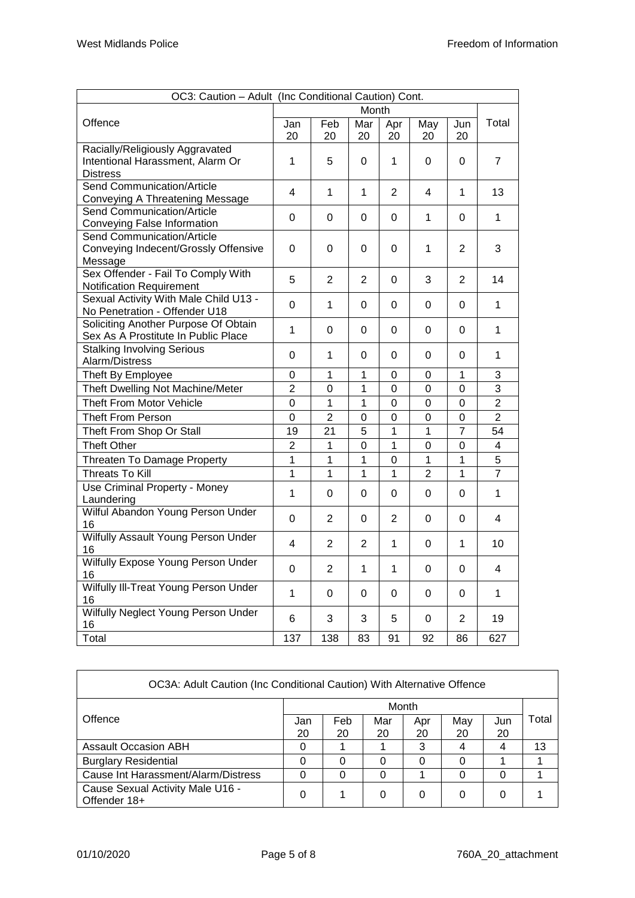| OC3: Caution - Adult (Inc Conditional Caution) Cont.                        |                |                |                |                |                  |                |                |  |
|-----------------------------------------------------------------------------|----------------|----------------|----------------|----------------|------------------|----------------|----------------|--|
|                                                                             |                |                | Month          |                |                  |                |                |  |
| Offence                                                                     | Jan<br>20      | Feb<br>20      | Mar<br>20      | Apr            | May<br>20        | Jun<br>20      | Total          |  |
| Racially/Religiously Aggravated                                             |                |                |                | 20             |                  |                |                |  |
| Intentional Harassment, Alarm Or                                            | 1              | 5              | 0              | 1              | 0                | $\Omega$       | $\overline{7}$ |  |
| <b>Distress</b><br>Send Communication/Article                               |                |                |                |                |                  |                |                |  |
| Conveying A Threatening Message                                             | 4              | 1              | 1              | 2              | 4                | 1              | 13             |  |
| <b>Send Communication/Article</b>                                           | 0              | 0              | 0              | 0              | 1                | 0              | $\mathbf{1}$   |  |
| Conveying False Information                                                 |                |                |                |                |                  |                |                |  |
| Send Communication/Article                                                  |                |                |                |                |                  |                |                |  |
| Conveying Indecent/Grossly Offensive                                        | 0              | 0              | 0              | $\Omega$       | 1                | $\overline{2}$ | 3              |  |
| Message                                                                     |                |                |                |                |                  |                |                |  |
| Sex Offender - Fail To Comply With                                          | 5              | $\overline{2}$ | $\overline{2}$ | $\Omega$       | 3                | $\overline{2}$ | 14             |  |
| Notification Requirement                                                    |                |                |                |                |                  |                |                |  |
| Sexual Activity With Male Child U13 -                                       | 0              | 1              | 0              | 0              | 0                | 0              | 1              |  |
| No Penetration - Offender U18                                               |                |                |                |                |                  |                |                |  |
| Soliciting Another Purpose Of Obtain<br>Sex As A Prostitute In Public Place | 1              | 0              | 0              | 0              | 0                | 0              | 1              |  |
| <b>Stalking Involving Serious</b>                                           | 0              | 1              | 0              | 0              | 0                | 0              | 1              |  |
| Alarm/Distress                                                              |                |                |                |                |                  |                |                |  |
| Theft By Employee                                                           | 0              | 1              | 1              | 0              | 0                | 1              | 3              |  |
| Theft Dwelling Not Machine/Meter                                            | $\overline{2}$ | 0              | 1              | $\mathbf 0$    | $\overline{0}$   | $\overline{0}$ | $\overline{3}$ |  |
| <b>Theft From Motor Vehicle</b>                                             | 0              | 1              | 1              | 0              | 0                | 0              | $\overline{2}$ |  |
| <b>Theft From Person</b>                                                    | 0              | $\overline{2}$ | 0              | 0              | 0                | 0              | $\overline{2}$ |  |
| Theft From Shop Or Stall                                                    | 19             | 21             | 5              | 1              | 1                | $\overline{7}$ | 54             |  |
| <b>Theft Other</b>                                                          | $\overline{2}$ | 1              | 0              | 1              | $\mathbf 0$      | 0              | $\overline{4}$ |  |
| Threaten To Damage Property                                                 | 1              | 1              | 1              | 0              | $\mathbf 1$      | $\mathbf 1$    | 5              |  |
| <b>Threats To Kill</b>                                                      | 1              | 1              | 1              | 1              | $\overline{2}$   | 1              | $\overline{7}$ |  |
| <b>Use Criminal Property - Money</b>                                        |                |                |                |                |                  |                |                |  |
| Laundering                                                                  | 1              | 0              | 0              | 0              | 0                | 0              | $\mathbf{1}$   |  |
| Wilful Abandon Young Person Under<br>16                                     | 0              | $\overline{2}$ | 0              | $\overline{2}$ | 0                | 0              | 4              |  |
| Wilfully Assault Young Person Under                                         | 4              | $\overline{2}$ | $\overline{2}$ | 1              | 0                | $\mathbf{1}$   | 10             |  |
| 16                                                                          |                |                |                |                |                  |                |                |  |
| Wilfully Expose Young Person Under<br>16                                    | $\mathbf 0$    | $\overline{c}$ | 1              | 1              | $\boldsymbol{0}$ | 0              | 4              |  |
| Wilfully III-Treat Young Person Under<br>16                                 | 1              | $\pmb{0}$      | $\pmb{0}$      | $\mathsf 0$    | 0                | 0              | $\mathbf{1}$   |  |
| Wilfully Neglect Young Person Under<br>16                                   | 6              | 3              | 3              | 5              | 0                | $\overline{2}$ | 19             |  |
| Total                                                                       | 137            | 138            | 83             | 91             | 92               | 86             | 627            |  |
|                                                                             |                |                |                |                |                  |                |                |  |

| OC3A: Adult Caution (Inc Conditional Caution) With Alternative Offence |       |     |     |     |     |     |       |  |  |  |  |
|------------------------------------------------------------------------|-------|-----|-----|-----|-----|-----|-------|--|--|--|--|
|                                                                        | Month |     |     |     |     |     |       |  |  |  |  |
| Offence                                                                | Jan   | Feb | Mar | Apr | May | Jun | Total |  |  |  |  |
|                                                                        | 20    | 20  | 20  | 20  | 20  | 20  |       |  |  |  |  |
| <b>Assault Occasion ABH</b>                                            |       |     |     | 3   |     |     | 13    |  |  |  |  |
| <b>Burglary Residential</b>                                            |       | O   | 0   | 0   |     |     |       |  |  |  |  |
| Cause Int Harassment/Alarm/Distress                                    |       |     | O   |     |     |     |       |  |  |  |  |
| Cause Sexual Activity Male U16 -<br>Offender 18+                       | 0     |     | O   | 0   |     |     |       |  |  |  |  |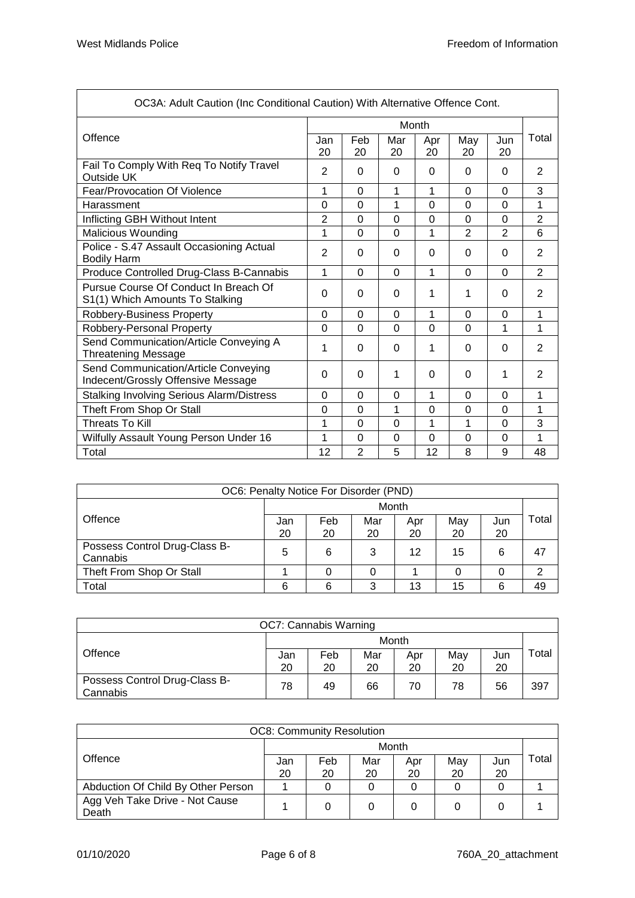| OC3A: Adult Caution (Inc Conditional Caution) With Alternative Offence Cont. |                |                |                |                |              |                |                |
|------------------------------------------------------------------------------|----------------|----------------|----------------|----------------|--------------|----------------|----------------|
|                                                                              |                |                |                | Month          |              |                |                |
| Offence                                                                      | Jan<br>20      | Feb<br>20      | Mar<br>20      | Apr<br>20      | May<br>20    | Jun<br>20      | Total          |
| Fail To Comply With Req To Notify Travel<br>Outside UK                       | 2              | $\Omega$       | $\Omega$       | $\Omega$       | $\Omega$     | $\Omega$       | 2              |
| Fear/Provocation Of Violence                                                 | 1              | $\Omega$       | 1              | 1              | $\Omega$     | 0              | 3              |
| Harassment                                                                   | $\Omega$       | $\Omega$       | 1              | $\Omega$       | $\Omega$     | 0              | 1              |
| Inflicting GBH Without Intent                                                | $\overline{2}$ | $\Omega$       | 0              | $\Omega$       | $\Omega$     | 0              | $\overline{2}$ |
| Malicious Wounding                                                           | 1              | $\mathbf 0$    | 0              | 1              | $\mathbf{2}$ | $\overline{2}$ | 6              |
| Police - S.47 Assault Occasioning Actual<br><b>Bodily Harm</b>               | $\overline{2}$ | $\Omega$       | $\Omega$       | $\Omega$       | $\Omega$     | 0              | $\overline{2}$ |
| Produce Controlled Drug-Class B-Cannabis                                     | 1              | $\overline{0}$ | $\overline{0}$ | 1              | $\Omega$     | 0              | $\overline{2}$ |
| Pursue Course Of Conduct In Breach Of<br>S1(1) Which Amounts To Stalking     | 0              | $\Omega$       | $\Omega$       | 1              | 1            | $\Omega$       | $\overline{2}$ |
| Robbery-Business Property                                                    | $\Omega$       | $\Omega$       | 0              | 1              | $\Omega$     | 0              | 1              |
| Robbery-Personal Property                                                    | $\overline{0}$ | $\Omega$       | 0              | $\overline{0}$ | $\Omega$     | 1              | 1              |
| Send Communication/Article Conveying A<br><b>Threatening Message</b>         | 1              | $\Omega$       | 0              | 1              | $\Omega$     | 0              | $\overline{2}$ |
| Send Communication/Article Conveying<br>Indecent/Grossly Offensive Message   | 0              | 0              | 1              | 0              | 0            | 1              | 2              |
| <b>Stalking Involving Serious Alarm/Distress</b>                             | $\Omega$       | $\Omega$       | $\Omega$       | 1              | $\Omega$     | $\Omega$       | 1              |
| Theft From Shop Or Stall                                                     | 0              | $\Omega$       | 1              | $\Omega$       | 0            | 0              | 1              |
| <b>Threats To Kill</b>                                                       | 1              | $\mathbf 0$    | 0              | 1              | 1            | 0              | 3              |
| Wilfully Assault Young Person Under 16                                       | 1              | $\Omega$       | 0              | $\Omega$       | $\Omega$     | 0              | 1              |
| Total                                                                        | 12             | $\overline{2}$ | 5              | 12             | 8            | 9              | 48             |

| OC6: Penalty Notice For Disorder (PND)    |           |           |           |           |           |           |       |  |  |  |  |
|-------------------------------------------|-----------|-----------|-----------|-----------|-----------|-----------|-------|--|--|--|--|
|                                           | Month     |           |           |           |           |           |       |  |  |  |  |
| Offence                                   | Jan<br>20 | Feb<br>20 | Mar<br>20 | Apr<br>20 | May<br>20 | Jun<br>20 | Гоtal |  |  |  |  |
| Possess Control Drug-Class B-<br>Cannabis | 5         | 6         | 3         | 12        | 15        | 6         | 47    |  |  |  |  |
| Theft From Shop Or Stall                  |           |           |           |           |           |           |       |  |  |  |  |
| Total                                     | 6         | 6         | 3         | 13        | 15        | 6         | 49    |  |  |  |  |

| OC7: Cannabis Warning                     |       |     |     |     |     |     |       |  |  |  |  |
|-------------------------------------------|-------|-----|-----|-----|-----|-----|-------|--|--|--|--|
|                                           | Month |     |     |     |     |     |       |  |  |  |  |
| Offence                                   | Jan   | Feb | Mar | Apr | May | Jun | ™otal |  |  |  |  |
|                                           | 20    | 20  | 20  | 20  | 20  | 20  |       |  |  |  |  |
| Possess Control Drug-Class B-<br>Cannabis | 78    | 49  | 66  | 70  | 78  | 56  | 397   |  |  |  |  |

| <b>OC8: Community Resolution</b>        |       |     |     |     |     |     |       |  |
|-----------------------------------------|-------|-----|-----|-----|-----|-----|-------|--|
|                                         | Month |     |     |     |     |     |       |  |
| Offence                                 | Jan   | Feb | Mar | Apr | May | Jun | Гоtal |  |
|                                         | 20    | 20  | 20  | 20  | 20  | 20  |       |  |
| Abduction Of Child By Other Person      |       |     |     |     |     |     |       |  |
| Agg Veh Take Drive - Not Cause<br>Death |       |     |     |     |     |     |       |  |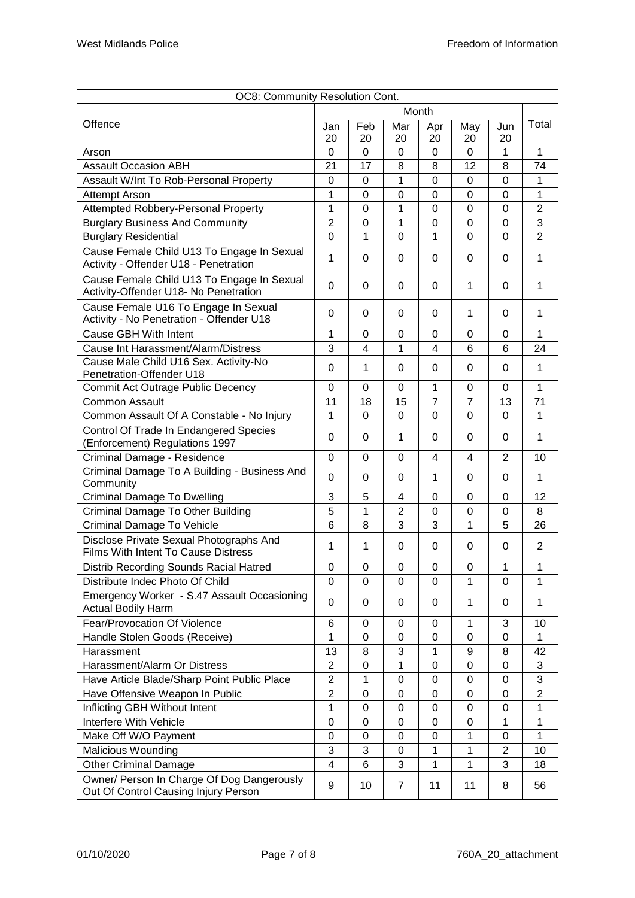| OC8: Community Resolution Cont.                                                       |                |             |                  |                |                |                |                |
|---------------------------------------------------------------------------------------|----------------|-------------|------------------|----------------|----------------|----------------|----------------|
| Offence                                                                               |                | Month       |                  |                |                |                |                |
|                                                                                       |                | Feb         | Mar              | Apr            | May            | Jun            | Total          |
|                                                                                       |                | 20          | 20               | 20             | 20             | 20             |                |
| Arson                                                                                 | 0              | $\Omega$    | 0                | 0              | 0              | $\mathbf{1}$   | 1              |
| <b>Assault Occasion ABH</b>                                                           | 21             | 17          | 8                | 8              | 12             | 8              | 74             |
| Assault W/Int To Rob-Personal Property                                                | 0              | $\mathbf 0$ | 1                | $\overline{0}$ | $\overline{0}$ | $\overline{0}$ | 1              |
| <b>Attempt Arson</b>                                                                  | 1              | 0           | 0                | 0              | $\mathbf 0$    | 0              | 1              |
| <b>Attempted Robbery-Personal Property</b>                                            | 1              | 0           | 1                | 0              | 0              | 0              | $\overline{2}$ |
| <b>Burglary Business And Community</b>                                                | $\overline{2}$ | 0           | 1                | 0              | 0              | 0              | 3              |
| <b>Burglary Residential</b>                                                           | $\overline{0}$ | 1           | $\overline{0}$   | 1              | $\overline{0}$ | 0              | $\overline{2}$ |
| Cause Female Child U13 To Engage In Sexual<br>Activity - Offender U18 - Penetration   | 1              | $\Omega$    | 0                | 0              | 0              | 0              | 1              |
| Cause Female Child U13 To Engage In Sexual<br>Activity-Offender U18- No Penetration   | 0              | 0           | 0                | 0              | 1              | 0              | 1              |
| Cause Female U16 To Engage In Sexual<br>Activity - No Penetration - Offender U18      | 0              | 0           | 0                | 0              | 1              | 0              | 1              |
| Cause GBH With Intent                                                                 | 1              | 0           | 0                | 0              | $\Omega$       | 0              | 1              |
| Cause Int Harassment/Alarm/Distress                                                   | 3              | 4           | 1                | 4              | 6              | 6              | 24             |
| Cause Male Child U16 Sex. Activity-No<br><b>Penetration-Offender U18</b>              | 0              | 1           | 0                | 0              | 0              | 0              | 1              |
| Commit Act Outrage Public Decency                                                     | 0              | 0           | 0                | 1              | 0              | 0              | 1              |
| <b>Common Assault</b>                                                                 | 11             | 18          | 15               | $\overline{7}$ | $\overline{7}$ | 13             | 71             |
| Common Assault Of A Constable - No Injury                                             | $\mathbf 1$    | $\mathbf 0$ | $\overline{0}$   | 0              | $\overline{0}$ | $\overline{0}$ | 1              |
| Control Of Trade In Endangered Species<br>(Enforcement) Regulations 1997              | 0              | $\Omega$    | 1                | 0              | 0              | 0              | 1              |
| Criminal Damage - Residence                                                           | 0              | $\mathbf 0$ | 0                | 4              | $\overline{4}$ | $\overline{2}$ | 10             |
| Criminal Damage To A Building - Business And<br>Community                             | $\Omega$       | $\Omega$    | 0                | 1              | 0              | 0              | 1              |
| <b>Criminal Damage To Dwelling</b>                                                    | 3              | 5           | 4                | 0              | $\Omega$       | 0              | 12             |
| Criminal Damage To Other Building                                                     | 5              | 1           | $\overline{2}$   | 0              | $\mathbf 0$    | $\Omega$       | 8              |
| Criminal Damage To Vehicle                                                            | 6              | 8           | 3                | 3              | 1              | 5              | 26             |
| Disclose Private Sexual Photographs And<br><b>Films With Intent To Cause Distress</b> | 1              | 1           | 0                | 0              | 0              | 0              | 2              |
| Distrib Recording Sounds Racial Hatred                                                | 0              | 0           | 0                | 0              | 0              | 1              | 1              |
| Distribute Indec Photo Of Child                                                       | 0              | $\Omega$    | $\Omega$         | $\Omega$       | 1              | $\Omega$       | 1              |
| Emergency Worker - S.47 Assault Occasioning<br><b>Actual Bodily Harm</b>              | $\Omega$       | $\Omega$    | 0                | 0              | 1              | 0              | 1              |
| Fear/Provocation Of Violence                                                          | 6              | 0           | 0                | 0              | 1              | 3              | 10             |
| Handle Stolen Goods (Receive)                                                         | 1              | 0           | 0                | 0              | 0              | 0              | 1              |
| Harassment                                                                            | 13             | 8           | 3                | 1              | 9              | 8              | 42             |
| Harassment/Alarm Or Distress                                                          | $\overline{2}$ | 0           | 1                | 0              | $\mathbf 0$    | 0              | 3              |
| Have Article Blade/Sharp Point Public Place                                           | $\overline{2}$ | 1           | $\boldsymbol{0}$ | 0              | $\mathbf 0$    | 0              | 3              |
| Have Offensive Weapon In Public                                                       | $\overline{2}$ | 0           | $\boldsymbol{0}$ | 0              | 0              | 0              | $\overline{2}$ |
| Inflicting GBH Without Intent                                                         | 1              | 0           | 0                | 0              | $\mathbf 0$    | 0              | 1              |
| Interfere With Vehicle                                                                | 0              | $\Omega$    | 0                | 0              | 0              | 1              | 1              |
| Make Off W/O Payment                                                                  | 0              | 0           | 0                | 0              | 1              | 0              | 1              |
| Malicious Wounding                                                                    | 3              | 3           | 0                | 1              | 1              | $\overline{2}$ | 10             |
| <b>Other Criminal Damage</b>                                                          | 4              | 6           | 3                | 1              | 1              | 3              | 18             |
| Owner/ Person In Charge Of Dog Dangerously<br>Out Of Control Causing Injury Person    | 9              | 10          | $\overline{7}$   | 11             | 11             | 8              | 56             |